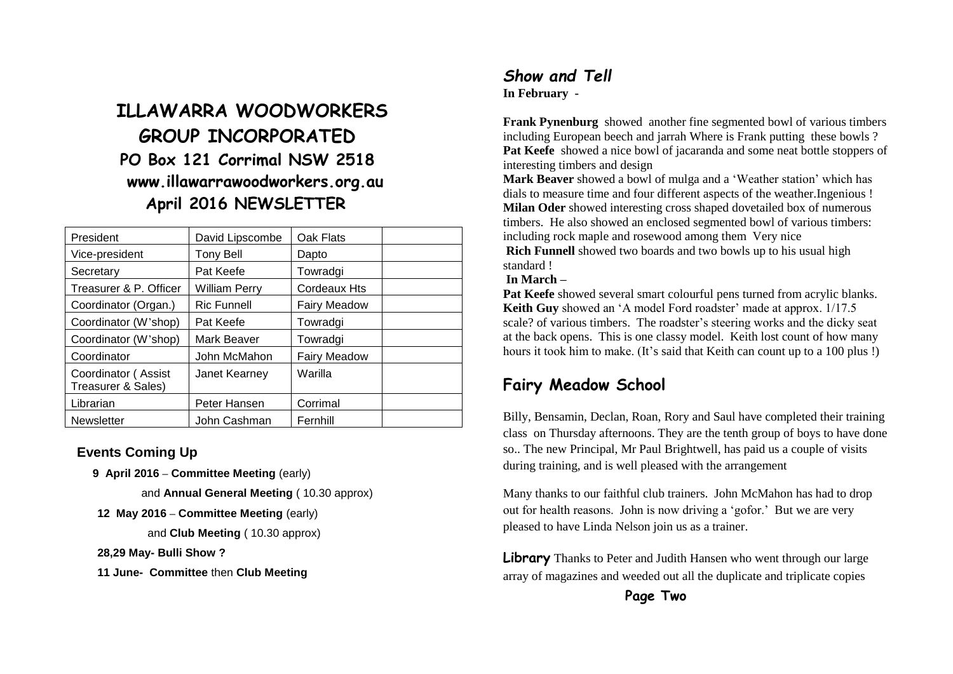# **ILLAWARRA WOODWORKERS GROUP INCORPORATED PO Box 121 Corrimal NSW 2518 www.illawarrawoodworkers.org.au April 2016 NEWSLETTER**

| President                                 | David Lipscombe    | Oak Flats           |  |
|-------------------------------------------|--------------------|---------------------|--|
| Vice-president                            | <b>Tony Bell</b>   | Dapto               |  |
| Secretary                                 | Pat Keefe          | Towradgi            |  |
| Treasurer & P. Officer                    | William Perry      | Cordeaux Hts        |  |
| Coordinator (Organ.)                      | <b>Ric Funnell</b> | <b>Fairy Meadow</b> |  |
| Coordinator (W'shop)                      | Pat Keefe          | Towradgi            |  |
| Coordinator (W'shop)                      | Mark Beaver        | Towradgi            |  |
| Coordinator                               | John McMahon       | <b>Fairy Meadow</b> |  |
| Coordinator (Assist<br>Treasurer & Sales) | Janet Kearney      | Warilla             |  |
| Librarian                                 | Peter Hansen       | Corrimal            |  |
| <b>Newsletter</b>                         | John Cashman       | Fernhill            |  |

#### **Events Coming Up**

 **9 April 2016 – Committee Meeting** (early)

and **Annual General Meeting** ( 10.30 approx)

**12 May 2016 – Committee Meeting** (early)

and **Club Meeting** ( 10.30 approx)

#### **28,29 May- Bulli Show ?**

**11 June- Committee** then **Club Meeting**

#### *Show and Tell* **In February -**

**Frank Pynenburg** showed another fine segmented bowl of various timbers including European beech and jarrah Where is Frank putting these bowls ? Pat Keefe showed a nice bowl of jacaranda and some neat bottle stoppers of interesting timbers and design

**Mark Beaver** showed a bowl of mulga and a 'Weather station' which has dials to measure time and four different aspects of the weather.Ingenious ! **Milan Oder** showed interesting cross shaped dovetailed box of numerous timbers. He also showed an enclosed segmented bowl of various timbers: including rock maple and rosewood among them Very nice **Rich Funnell** showed two boards and two bowls up to his usual high standard !

#### **In March –**

**Pat Keefe** showed several smart colourful pens turned from acrylic blanks. **Keith Guy** showed an 'A model Ford roadster' made at approx. 1/17.5 scale? of various timbers. The roadster's steering works and the dicky seat at the back opens. This is one classy model. Keith lost count of how many hours it took him to make. (It's said that Keith can count up to a 100 plus !)

# **Fairy Meadow School**

Billy, Bensamin, Declan, Roan, Rory and Saul have completed their training class on Thursday afternoons. They are the tenth group of boys to have done so.. The new Principal, Mr Paul Brightwell, has paid us a couple of visits during training, and is well pleased with the arrangement

Many thanks to our faithful club trainers. John McMahon has had to drop out for health reasons. John is now driving a 'gofor.' But we are very pleased to have Linda Nelson join us as a trainer.

**Library** Thanks to Peter and Judith Hansen who went through our large array of magazines and weeded out all the duplicate and triplicate copies

**Page Two**